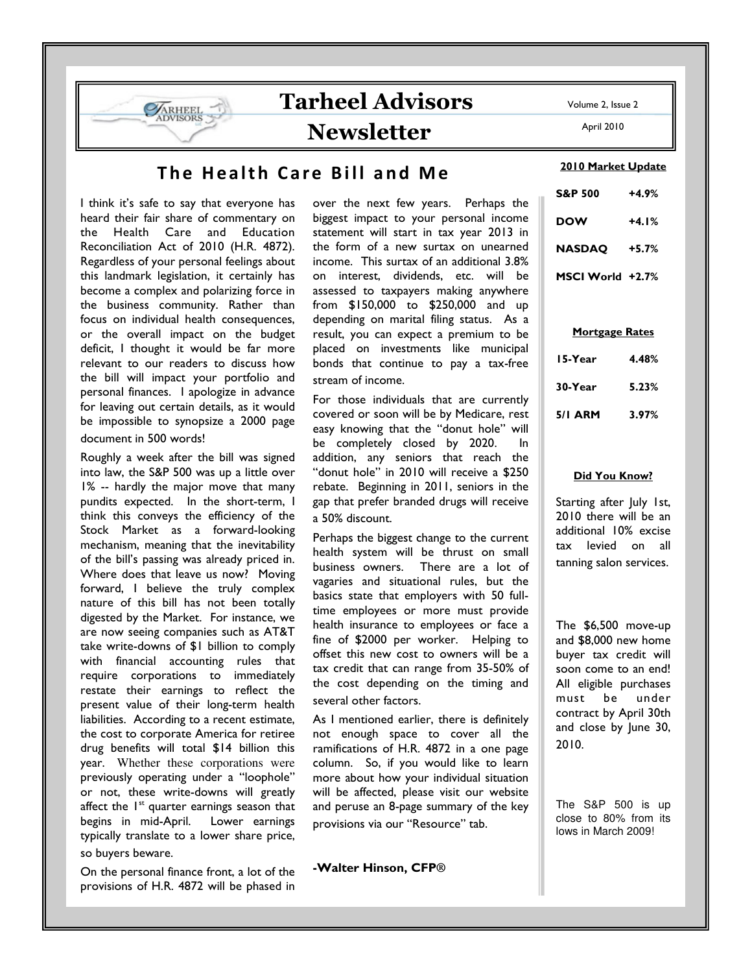

## The Health Care Bill and Me

I think it's safe to say that everyone has heard their fair share of commentary on the Health Care and Education Reconciliation Act of 2010 (H.R. 4872). Regardless of your personal feelings about this landmark legislation, it certainly has become a complex and polarizing force in the business community. Rather than focus on individual health consequences, or the overall impact on the budget deficit, I thought it would be far more relevant to our readers to discuss how the bill will impact your portfolio and personal finances. I apologize in advance for leaving out certain details, as it would be impossible to synopsize a 2000 page document in 500 words!

Roughly a week after the bill was signed into law, the S&P 500 was up a little over 1% -- hardly the major move that many pundits expected. In the short-term, I think this conveys the efficiency of the Stock Market as a forward-looking mechanism, meaning that the inevitability of the bill's passing was already priced in. Where does that leave us now? Moving forward, I believe the truly complex nature of this bill has not been totally digested by the Market. For instance, we are now seeing companies such as AT&T take write-downs of \$1 billion to comply with financial accounting rules that require corporations to immediately restate their earnings to reflect the present value of their long-term health liabilities. According to a recent estimate, the cost to corporate America for retiree drug benefits will total \$14 billion this year. Whether these corporations were previously operating under a "loophole" or not, these write-downs will greatly affect the  $1<sup>st</sup>$  quarter earnings season that begins in mid-April. Lower earnings typically translate to a lower share price, so buyers beware.

On the personal finance front, a lot of the provisions of H.R. 4872 will be phased in over the next few years. Perhaps the biggest impact to your personal income statement will start in tax year 2013 in the form of a new surtax on unearned income. This surtax of an additional 3.8% on interest, dividends, etc. will be assessed to taxpayers making anywhere from \$150,000 to \$250,000 and up depending on marital filing status. As a result, you can expect a premium to be placed on investments like municipal bonds that continue to pay a tax-free stream of income.

For those individuals that are currently covered or soon will be by Medicare, rest easy knowing that the "donut hole" will be completely closed by 2020. In addition, any seniors that reach the "donut hole" in 2010 will receive a \$250 rebate. Beginning in 2011, seniors in the gap that prefer branded drugs will receive a 50% discount.

Perhaps the biggest change to the current health system will be thrust on small business owners. There are a lot of vagaries and situational rules, but the basics state that employers with 50 fulltime employees or more must provide health insurance to employees or face a fine of \$2000 per worker. Helping to offset this new cost to owners will be a tax credit that can range from 35-50% of the cost depending on the timing and several other factors.

As I mentioned earlier, there is definitely not enough space to cover all the ramifications of H.R. 4872 in a one page column. So, if you would like to learn more about how your individual situation will be affected, please visit our website and peruse an 8-page summary of the key provisions via our "Resource" tab.

-Walter Hinson, CFP**®**

2010 Market Update

| S&P 500          | +4.9%   |
|------------------|---------|
| DOW              | $+4.1%$ |
| NASDAO           | $+5.7%$ |
| MSCI World +2.7% |         |

### Mortgage Rates

| 15-Year | 4.48% |
|---------|-------|
| 30-Year | 5.23% |
| 5/1 ARM | 3.97% |

### Did You Know?

Starting after July 1st, 2010 there will be an additional 10% excise tax levied on all tanning salon services.

The \$6,500 move-up and \$8,000 new home buyer tax credit will soon come to an end! All eligible purchases must be under contract by April 30th and close by June 30, 2010.

The S&P 500 is up close to 80% from its lows in March 2009!